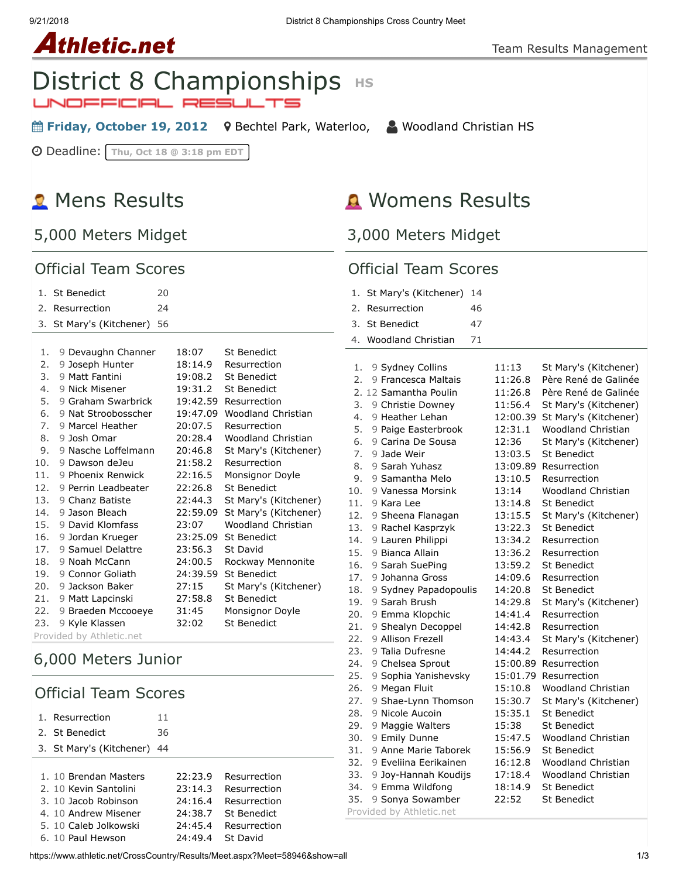#### 9/21/2018 District 8 Championships Cross Country Meet

# **Athletic.net**

## **District 8 Championships HS** JNOFFICIAL RESULTS

**■ Friday, October 19, 2012** 9 [Bechtel Park, Waterloo,](https://maps.google.com/maps?saddr=&daddr=Bechtel%20Park,%20185%20Bridge%20St.%20West,%20Waterloo%20N2K%201K8&hl=en) △ [Woodland Christian HS](https://www.athletic.net/CrossCountry/School.aspx?SchoolID=27436)

Deadline: **Thu, Oct 18 @ 3:18 pm EDT**

# **R** Mens Results

## 5,000 Meters Midget

### Official Team Scores

| $1_{\ldots}$ | <b>St Benedict</b>       | 20 |          |                           |  |  |
|--------------|--------------------------|----|----------|---------------------------|--|--|
| 2.           | Resurrection             | 24 |          |                           |  |  |
| 3.           | St Mary's (Kitchener)    | 56 |          |                           |  |  |
|              |                          |    |          |                           |  |  |
| 1.           | 9 Devaughn Channer       |    | 18:07    | <b>St Benedict</b>        |  |  |
| 2.           | 9 Joseph Hunter          |    | 18:14.9  | Resurrection              |  |  |
| 3.           | 9 Matt Fantini           |    | 19:08.2  | <b>St Benedict</b>        |  |  |
| 4.           | 9 Nick Misener           |    | 19:31.2  | <b>St Benedict</b>        |  |  |
| 5.           | 9 Graham Swarbrick       |    | 19:42.59 | Resurrection              |  |  |
| 6.           | 9 Nat Stroobosscher      |    | 19:47.09 | <b>Woodland Christian</b> |  |  |
| 7.           | 9 Marcel Heather         |    | 20:07.5  | Resurrection              |  |  |
| 8.           | 9 Josh Omar              |    | 20:28.4  | <b>Woodland Christian</b> |  |  |
| 9.           | 9 Nasche Loffelmann      |    | 20:46.8  | St Mary's (Kitchener)     |  |  |
| 10.          | 9 Dawson deJeu           |    | 21:58.2  | Resurrection              |  |  |
| 11.          | 9 Phoenix Renwick        |    | 22:16.5  | Monsignor Doyle           |  |  |
| 12.          | 9 Perrin Leadbeater      |    | 22:26.8  | <b>St Benedict</b>        |  |  |
| 13.          | 9 Chanz Batiste          |    | 22:44.3  | St Mary's (Kitchener)     |  |  |
| 14.          | 9 Jason Bleach           |    | 22:59.09 | St Mary's (Kitchener)     |  |  |
| 15.          | 9 David Klomfass         |    | 23:07    | <b>Woodland Christian</b> |  |  |
| 16.          | 9 Jordan Krueger         |    | 23:25.09 | <b>St Benedict</b>        |  |  |
| 17.          | 9 Samuel Delattre        |    | 23:56.3  | St David                  |  |  |
| 18.          | 9 Noah McCann            |    | 24:00.5  | Rockway Mennonite         |  |  |
| 19.          | 9 Connor Goliath         |    | 24:39.59 | <b>St Benedict</b>        |  |  |
| 20.          | 9 Jackson Baker          |    | 27:15    | St Mary's (Kitchener)     |  |  |
| 21.          | 9 Matt Lapcinski         |    | 27:58.8  | <b>St Benedict</b>        |  |  |
| 22.          | 9 Braeden Mccooeye       |    | 31:45    | Monsignor Doyle           |  |  |
| 23.          | 9 Kyle Klassen           |    | 32:02    | <b>St Benedict</b>        |  |  |
|              | Provided by Athletic.net |    |          |                           |  |  |

## 6,000 Meters Junior

## Official Team Scores

| Resurrection             | 11 |         |              |
|--------------------------|----|---------|--------------|
| 2. St Benedict           | 36 |         |              |
| 3. St Mary's (Kitchener) | 44 |         |              |
|                          |    |         |              |
| 1. 10 Brendan Masters    |    | 22:23.9 | Resurrection |
| 2. 10 Kevin Santolini    |    | 23:14.3 | Resurrection |
| 3. 10 Jacob Robinson     |    | 24:16.4 | Resurrection |
| 4. 10 Andrew Misener     |    | 24:38.7 | St Benedict  |
| 5. 10 Caleb Jolkowski    |    | 24:45.4 | Resurrection |
| 6. 10 Paul Hewson        |    | 74:49.4 | St David     |
|                          |    |         |              |

## **A** Womens Results

3,000 Meters Midget

#### Official Team Scores

| 1. St Mary's (Kitchener) 14 |     |
|-----------------------------|-----|
| 2. Resurrection             | 46  |
| 3. St Benedict              | 47  |
| 4. Woodland Christian       | -71 |

| 1.               | 9 Sydney Collins      | 11:13    | St Mary's (Kitchener)     |
|------------------|-----------------------|----------|---------------------------|
| $\overline{2}$ . | 9 Francesca Maltais   | 11:26.8  | Père René de Galinée      |
|                  | 2. 12 Samantha Poulin | 11:26.8  | Père René de Galinée      |
| 3.               | 9 Christie Downey     | 11:56.4  | St Mary's (Kitchener)     |
| 4.               | 9 Heather Lehan       | 12:00.39 | St Mary's (Kitchener)     |
| 5.               | 9 Paige Easterbrook   | 12:31.1  | Woodland Christian        |
| 6.               | 9 Carina De Sousa     | 12:36    | St Mary's (Kitchener)     |
| 7.               | 9 Jade Weir           | 13:03.5  | <b>St Benedict</b>        |
| 8.               | 9 Sarah Yuhasz        | 13:09.89 | Resurrection              |
| 9.               | 9 Samantha Melo       | 13:10.5  | Resurrection              |
| 10.              | 9 Vanessa Morsink     | 13:14    | <b>Woodland Christian</b> |
| 11.              | 9 Kara Lee            | 13:14.8  | <b>St Benedict</b>        |
| 12.              | 9 Sheena Flanagan     | 13:15.5  | St Mary's (Kitchener)     |
| 13.              | 9 Rachel Kasprzyk     | 13:22.3  | <b>St Benedict</b>        |
| 14.              | 9 Lauren Philippi     | 13:34.2  | Resurrection              |
| 15.              | 9 Bianca Allain       | 13:36.2  | Resurrection              |
| 16.              | 9 Sarah SuePing       | 13:59.2  | <b>St Benedict</b>        |
| 17.              | 9 Johanna Gross       | 14:09.6  | Resurrection              |
| 18.              | 9 Sydney Papadopoulis | 14:20.8  | <b>St Benedict</b>        |
| 19.              | 9 Sarah Brush         | 14:29.8  | St Mary's (Kitchener)     |
| 20.              | 9 Emma Klopchic       | 14:41.4  | Resurrection              |
| 21.              | 9 Shealyn Decoppel    | 14:42.8  | Resurrection              |
| 22.              | 9 Allison Frezell     | 14:43.4  | St Mary's (Kitchener)     |
| 23.              | 9 Talia Dufresne      | 14:44.2  | Resurrection              |
| 24.              | 9 Chelsea Sprout      | 15:00.89 | Resurrection              |
| 25.              | 9 Sophia Yanishevsky  | 15:01.79 | Resurrection              |
| 26.              | 9 Megan Fluit         | 15:10.8  | Woodland Christian        |
| 27.              | 9 Shae-Lynn Thomson   | 15:30.7  | St Mary's (Kitchener)     |
| 28.              | 9 Nicole Aucoin       | 15:35.1  | <b>St Benedict</b>        |
| 29.              | 9 Maggie Walters      | 15:38    | <b>St Benedict</b>        |
| 30.              | 9 Emily Dunne         | 15:47.5  | <b>Woodland Christian</b> |
| 31.              | 9 Anne Marie Taborek  | 15:56.9  | St Benedict               |
| 32.              | 9 Eveliina Eerikainen | 16:12.8  | Woodland Christian        |
| 33.              | 9 Joy-Hannah Koudijs  | 17:18.4  | <b>Woodland Christian</b> |
| 34.              | 9 Emma Wildfong       | 18:14.9  | <b>St Benedict</b>        |
| 35.              | 9 Sonya Sowamber      | 22:52    | <b>St Benedict</b>        |

Provided by Athletic.net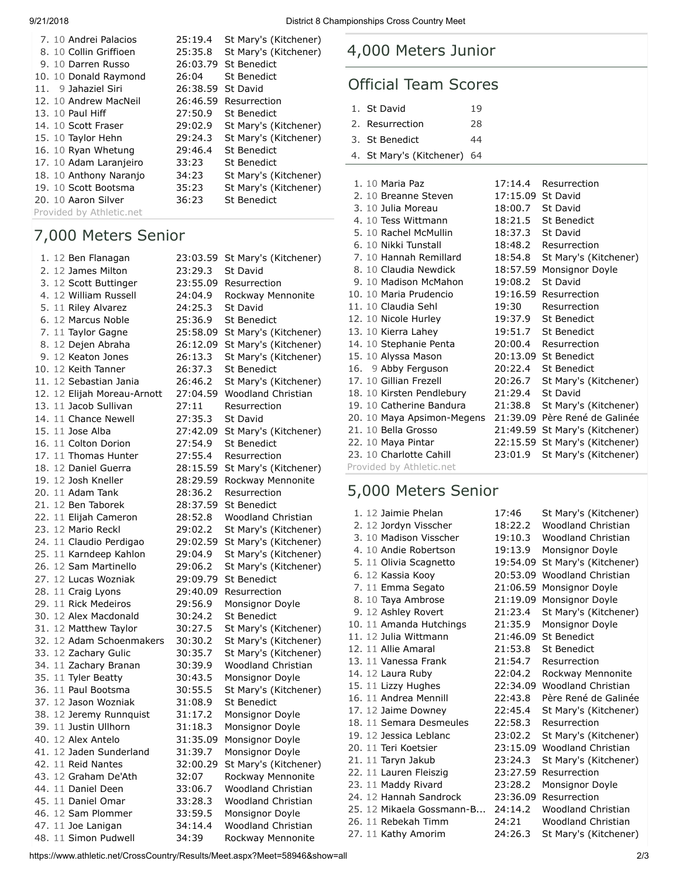| 7. 10 Andrei Palacios    | 25:19.4  | St Mary's (Kitchener) |
|--------------------------|----------|-----------------------|
| 8. 10 Collin Griffioen   | 25:35.8  | St Mary's (Kitchener) |
| 9. 10 Darren Russo       | 26:03.79 | <b>St Benedict</b>    |
| 10. 10 Donald Raymond    | 26:04    | St Benedict           |
| 11. 9 Jahaziel Siri      | 26:38.59 | St David              |
| 12. 10 Andrew MacNeil    | 26:46.59 | Resurrection          |
| 13. 10 Paul Hiff         | 27:50.9  | St Benedict           |
| 14. 10 Scott Fraser      | 29:02.9  | St Mary's (Kitchener) |
| 15. 10 Taylor Hehn       | 29:24.3  | St Mary's (Kitchener) |
| 16. 10 Ryan Whetung      | 29:46.4  | St Benedict           |
| 17. 10 Adam Laranjeiro   | 33:23    | St Benedict           |
| 18. 10 Anthony Naranjo   | 34:23    | St Mary's (Kitchener) |
| 19. 10 Scott Bootsma     | 35:23    | St Mary's (Kitchener) |
| 20. 10 Aaron Silver      | 36:23    | <b>St Benedict</b>    |
| Provided by Athletic.net |          |                       |

## 7,000 Meters Senior

|  | 1. 12 Ben Flanagan          | 23:03.59 | St Mary's (Kitchener)     |
|--|-----------------------------|----------|---------------------------|
|  | 2. 12 James Milton          | 23:29.3  | St David                  |
|  | 3. 12 Scott Buttinger       | 23:55.09 | Resurrection              |
|  | 4. 12 William Russell       | 24:04.9  | Rockway Mennonite         |
|  | 5. 11 Riley Alvarez         | 24:25.3  | St David                  |
|  | 6. 12 Marcus Noble          | 25:36.9  | <b>St Benedict</b>        |
|  | 7. 11 Taylor Gagne          | 25:58.09 | St Mary's (Kitchener)     |
|  | 8. 12 Dejen Abraha          | 26:12.09 | St Mary's (Kitchener)     |
|  | 9. 12 Keaton Jones          | 26:13.3  | St Mary's (Kitchener)     |
|  | 10. 12 Keith Tanner         | 26:37.3  | <b>St Benedict</b>        |
|  | 11. 12 Sebastian Jania      | 26:46.2  | St Mary's (Kitchener)     |
|  | 12. 12 Elijah Moreau-Arnott | 27:04.59 | <b>Woodland Christian</b> |
|  | 13. 11 Jacob Sullivan       | 27:11    | Resurrection              |
|  | 14. 11 Chance Newell        | 27:35.3  | St David                  |
|  | 15. 11 Jose Alba            | 27:42.09 | St Mary's (Kitchener)     |
|  | 16. 11 Colton Dorion        | 27:54.9  | <b>St Benedict</b>        |
|  | 17. 11 Thomas Hunter        | 27:55.4  | Resurrection              |
|  | 18. 12 Daniel Guerra        | 28:15.59 | St Mary's (Kitchener)     |
|  | 19. 12 Josh Kneller         | 28:29.59 | Rockway Mennonite         |
|  | 20. 11 Adam Tank            | 28:36.2  | Resurrection              |
|  | 21. 12 Ben Taborek          | 28:37.59 | <b>St Benedict</b>        |
|  | 22. 11 Elijah Cameron       | 28:52.8  | <b>Woodland Christian</b> |
|  | 23. 12 Mario Reckl          | 29:02.2  | St Mary's (Kitchener)     |
|  | 24. 11 Claudio Perdigao     | 29:02.59 | St Mary's (Kitchener)     |
|  | 25. 11 Karndeep Kahlon      | 29:04.9  | St Mary's (Kitchener)     |
|  | 26. 12 Sam Martinello       | 29:06.2  | St Mary's (Kitchener)     |
|  | 27. 12 Lucas Wozniak        | 29:09.79 | St Benedict               |
|  | 28. 11 Craig Lyons          | 29:40.09 | Resurrection              |
|  | 29. 11 Rick Medeiros        | 29:56.9  | Monsignor Doyle           |
|  | 30. 12 Alex Macdonald       | 30:24.2  | <b>St Benedict</b>        |
|  | 31. 12 Matthew Taylor       | 30:27.5  | St Mary's (Kitchener)     |
|  | 32. 12 Adam Schoenmakers    | 30:30.2  | St Mary's (Kitchener)     |
|  | 33. 12 Zachary Gulic        | 30:35.7  | St Mary's (Kitchener)     |
|  | 34. 11 Zachary Branan       | 30:39.9  | <b>Woodland Christian</b> |
|  | 35. 11 Tyler Beatty         | 30:43.5  | Monsignor Doyle           |
|  | 36. 11 Paul Bootsma         | 30:55.5  | St Mary's (Kitchener)     |
|  | 37. 12 Jason Wozniak        | 31:08.9  | <b>St Benedict</b>        |
|  | 38. 12 Jeremy Runnquist     | 31:17.2  | Monsignor Doyle           |
|  | 39. 11 Justin Ullhorn       | 31:18.3  | Monsignor Doyle           |
|  | 40. 12 Alex Antelo          | 31:35.09 | Monsignor Doyle           |
|  | 41. 12 Jaden Sunderland     | 31:39.7  | Monsignor Doyle           |
|  | 42. 11 Reid Nantes          | 32:00.29 | St Mary's (Kitchener)     |
|  | 43. 12 Graham De'Ath        | 32:07    | Rockway Mennonite         |
|  | 44. 11 Daniel Deen          | 33:06.7  | <b>Woodland Christian</b> |
|  | 45. 11 Daniel Omar          | 33:28.3  | <b>Woodland Christian</b> |
|  | 46. 12 Sam Plommer          | 33:59.5  | Monsignor Doyle           |
|  | 47. 11 Joe Lanigan          | 34:14.4  | Woodland Christian        |
|  | 48. 11 Simon Pudwell        | 34:39    | Rockway Mennonite         |

## 4,000 Meters Junior

## Official Team Scores

| 1. St David                 | 19 |
|-----------------------------|----|
| 2. Resurrection             | 28 |
| 3. St Benedict              | 44 |
| 4. St Mary's (Kitchener) 64 |    |

| 1. 10 Maria Paz            | 17:14.4  | Resurrection          |
|----------------------------|----------|-----------------------|
| 2. 10 Breanne Steven       | 17:15.09 | St David              |
| 3. 10 Julia Moreau         | 18:00.7  | St David              |
| 4. 10 Tess Wittmann        | 18:21.5  | <b>St Benedict</b>    |
| 5. 10 Rachel McMullin      | 18:37.3  | St David              |
| 6. 10 Nikki Tunstall       | 18:48.2  | Resurrection          |
| 7. 10 Hannah Remillard     | 18:54.8  | St Mary's (Kitchener) |
| 8. 10 Claudia Newdick      | 18:57.59 | Monsignor Doyle       |
| 9. 10 Madison McMahon      | 19:08.2  | St David              |
| 10. 10 Maria Prudencio     |          | 19:16.59 Resurrection |
| 11. 10 Claudia Sehl        | 19:30    | Resurrection          |
| 12. 10 Nicole Hurley       | 19:37.9  | <b>St Benedict</b>    |
| 13. 10 Kierra Lahey        | 19:51.7  | <b>St Benedict</b>    |
| 14. 10 Stephanie Penta     | 20:00.4  | Resurrection          |
| 15. 10 Alyssa Mason        |          | 20:13.09 St Benedict  |
| 16. 9 Abby Ferguson        | 20:22.4  | <b>St Benedict</b>    |
| 17. 10 Gillian Frezell     | 20:26.7  | St Mary's (Kitchener) |
| 18. 10 Kirsten Pendlebury  | 21:29.4  | St David              |
| 19. 10 Catherine Bandura   | 21:38.8  | St Mary's (Kitchener) |
| 20. 10 Maya Apsimon-Megens | 21:39.09 | Père René de Galinée  |
| 21. 10 Bella Grosso        | 21:49.59 | St Mary's (Kitchener) |
| 22. 10 Maya Pintar         | 22:15.59 | St Mary's (Kitchener) |
| 23. 10 Charlotte Cahill    | 23:01.9  | St Mary's (Kitchener) |
| Provided by Athletic.net   |          |                       |

## 5,000 Meters Senior

| 1. 12 Jaimie Phelan       | 17:46    | St Mary's (Kitchener)     |
|---------------------------|----------|---------------------------|
| 2. 12 Jordyn Visscher     | 18:22.2  | Woodland Christian        |
| 3. 10 Madison Visscher    | 19:10.3  | Woodland Christian        |
| 4. 10 Andie Robertson     | 19:13.9  | Monsignor Doyle           |
| 5. 11 Olivia Scagnetto    | 19:54.09 | St Mary's (Kitchener)     |
| 6. 12 Kassia Kooy         | 20:53.09 | Woodland Christian        |
| 7. 11 Emma Segato         | 21:06.59 | Monsignor Doyle           |
| 8. 10 Taya Ambrose        | 21:19.09 | Monsignor Doyle           |
| 9. 12 Ashley Rovert       | 21:23.4  | St Mary's (Kitchener)     |
| 10. 11 Amanda Hutchings   | 21:35.9  | Monsignor Doyle           |
| 11. 12 Julia Wittmann     | 21:46.09 | <b>St Benedict</b>        |
| 12. 11 Allie Amaral       | 21:53.8  | <b>St Benedict</b>        |
| 13. 11 Vanessa Frank      | 21:54.7  | Resurrection              |
| 14. 12 Laura Ruby         | 22:04.2  | Rockway Mennonite         |
| 15. 11 Lizzy Hughes       | 22:34.09 | <b>Woodland Christian</b> |
| 16. 11 Andrea Mennill     | 22:43.8  | Père René de Galinée      |
| 17. 12 Jaime Downey       | 22:45.4  | St Mary's (Kitchener)     |
| 18. 11 Semara Desmeules   | 22:58.3  | Resurrection              |
| 19. 12 Jessica Leblanc    | 23:02.2  | St Mary's (Kitchener)     |
| 20. 11 Teri Koetsier      | 23:15.09 | <b>Woodland Christian</b> |
| 21. 11 Taryn Jakub        | 23:24.3  | St Mary's (Kitchener)     |
| 22. 11 Lauren Fleiszig    | 23:27.59 | Resurrection              |
| 23. 11 Maddy Rivard       | 23:28.2  | Monsignor Doyle           |
| 24. 12 Hannah Sandrock    | 23:36.09 | Resurrection              |
| 25. 12 Mikaela Gossmann-B | 24:14.2  | Woodland Christian        |
| 26. 11 Rebekah Timm       | 24:21    | Woodland Christian        |
| 27. 11 Kathy Amorim       | 24:26.3  | St Mary's (Kitchener)     |

https://www.athletic.net/CrossCountry/Results/Meet.aspx?Meet=58946&show=all 2/3